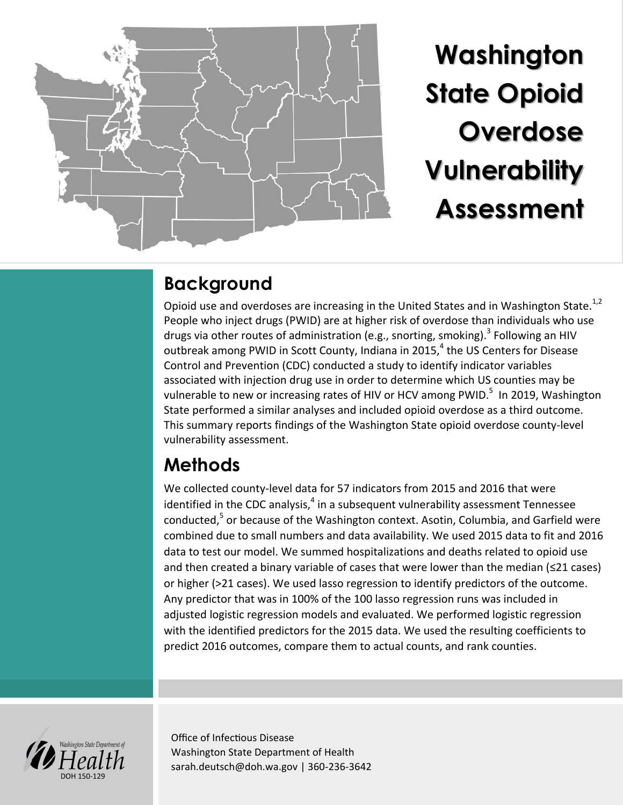

**Washington State Opioid Overdose Vulnerability Assessment** 

# **Background**

Opioid use and overdoses are increasing in the United States and in Washington State.<sup>1,2</sup> People who inject drugs (PWID) are at higher risk of overdose than individuals who use drugs via other routes of administration (e.g., snorting, smoking).<sup>3</sup> Following an HIV outbreak among PWID in Scott County, Indiana in 2015, $^4$  the US Centers for Disease Control and Prevention (CDC) conducted a study to identify indicator variables associated with injection drug use in order to determine which US counties may be vulnerable to new or increasing rates of HIV or HCV among PWID.<sup>5</sup> In 2019, Washington State performed a similar analyses and included opioid overdose as a third outcome. This summary reports findings of the Washington State opioid overdose county-level vulnerability assessment.

# **Methods**

We collected county-level data for 57 indicators from 2015 and 2016 that were identified in the CDC analysis,<sup>4</sup> in a subsequent vulnerability assessment Tennessee conducted,<sup>5</sup> or because of the Washington context. Asotin, Columbia, and Garfield were combined due to small numbers and data availability. We used 2015 data to fit and 2016 data to test our model. We summed hospitalizations and deaths related to opioid use and then created a binary variable of cases that were lower than the median (≤21 cases) or higher (>21 cases). We used lasso regression to identify predictors of the outcome. Any predictor that was in 100% of the 100 lasso regression runs was included in adjusted logistic regression models and evaluated. We performed logistic regression with the identified predictors for the 2015 data. We used the resulting coefficients to predict 2016 outcomes, compare them to actual counts, and rank counties.



Office of Infectious Disease Washington State Department of Health sarah.deutsch@doh.wa.gov | 360-236-3642